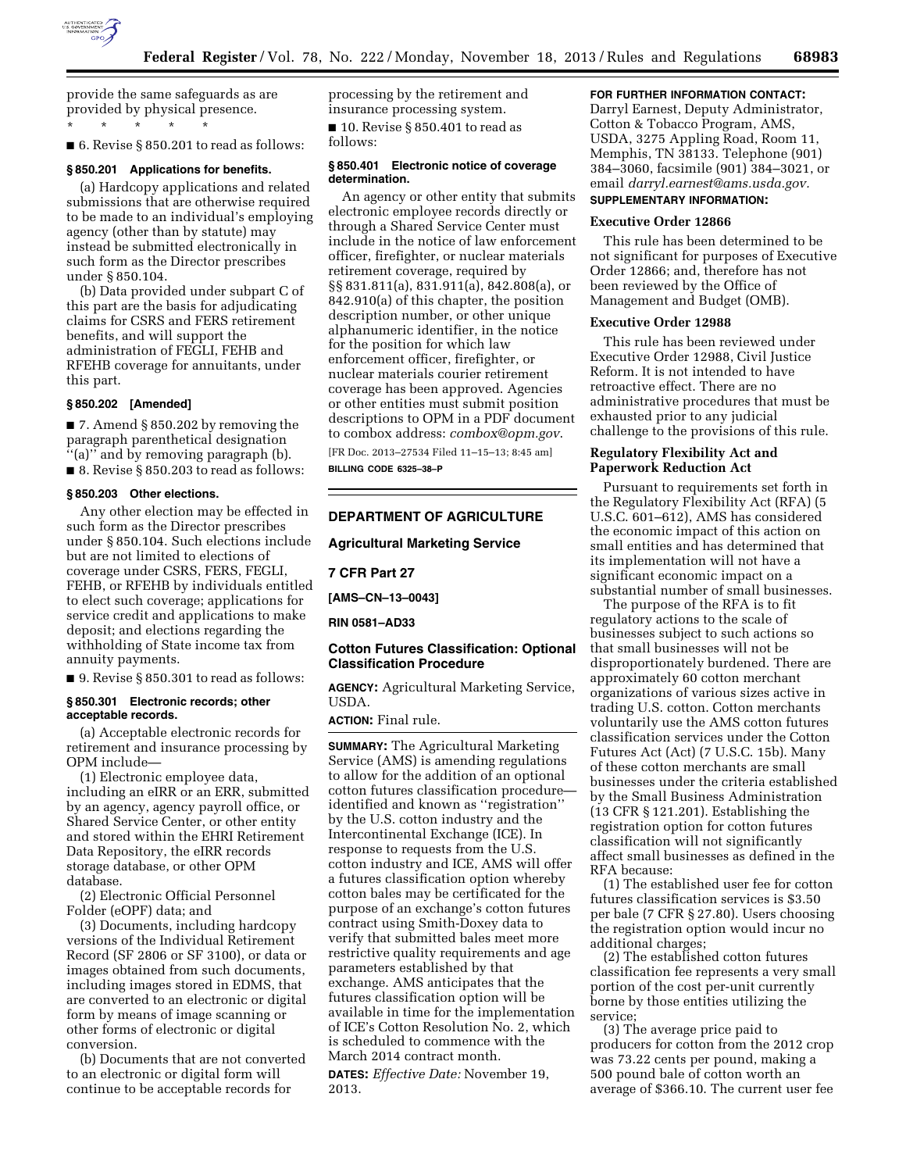

provide the same safeguards as are provided by physical presence. \* \* \* \* \*

■ 6. Revise § 850.201 to read as follows:

#### **§ 850.201 Applications for benefits.**

(a) Hardcopy applications and related submissions that are otherwise required to be made to an individual's employing agency (other than by statute) may instead be submitted electronically in such form as the Director prescribes under § 850.104.

(b) Data provided under subpart C of this part are the basis for adjudicating claims for CSRS and FERS retirement benefits, and will support the administration of FEGLI, FEHB and RFEHB coverage for annuitants, under this part.

## **§ 850.202 [Amended]**

■ 7. Amend § 850.202 by removing the paragraph parenthetical designation ''(a)'' and by removing paragraph (b). ■ 8. Revise § 850.203 to read as follows:

#### **§ 850.203 Other elections.**

Any other election may be effected in such form as the Director prescribes under § 850.104. Such elections include but are not limited to elections of coverage under CSRS, FERS, FEGLI, FEHB, or RFEHB by individuals entitled to elect such coverage; applications for service credit and applications to make deposit; and elections regarding the withholding of State income tax from annuity payments.

■ 9. Revise § 850.301 to read as follows:

### **§ 850.301 Electronic records; other acceptable records.**

(a) Acceptable electronic records for retirement and insurance processing by OPM include—

(1) Electronic employee data, including an eIRR or an ERR, submitted by an agency, agency payroll office, or Shared Service Center, or other entity and stored within the EHRI Retirement Data Repository, the eIRR records storage database, or other OPM database.

(2) Electronic Official Personnel Folder (eOPF) data; and

(3) Documents, including hardcopy versions of the Individual Retirement Record (SF 2806 or SF 3100), or data or images obtained from such documents, including images stored in EDMS, that are converted to an electronic or digital form by means of image scanning or other forms of electronic or digital conversion.

(b) Documents that are not converted to an electronic or digital form will continue to be acceptable records for

processing by the retirement and insurance processing system.

■ 10. Revise § 850.401 to read as follows:

## **§ 850.401 Electronic notice of coverage determination.**

An agency or other entity that submits electronic employee records directly or through a Shared Service Center must include in the notice of law enforcement officer, firefighter, or nuclear materials retirement coverage, required by §§ 831.811(a), 831.911(a), 842.808(a), or 842.910(a) of this chapter, the position description number, or other unique alphanumeric identifier, in the notice for the position for which law enforcement officer, firefighter, or nuclear materials courier retirement coverage has been approved. Agencies or other entities must submit position descriptions to OPM in a PDF document to combox address: *[combox@opm.gov](mailto:combox@opm.gov)*.

[FR Doc. 2013–27534 Filed 11–15–13; 8:45 am] **BILLING CODE 6325–38–P** 

## **DEPARTMENT OF AGRICULTURE**

## **Agricultural Marketing Service**

**7 CFR Part 27** 

**[AMS–CN–13–0043]** 

#### **RIN 0581–AD33**

## **Cotton Futures Classification: Optional Classification Procedure**

**AGENCY:** Agricultural Marketing Service, USDA.

**ACTION:** Final rule.

**SUMMARY:** The Agricultural Marketing Service (AMS) is amending regulations to allow for the addition of an optional cotton futures classification procedure identified and known as ''registration'' by the U.S. cotton industry and the Intercontinental Exchange (ICE). In response to requests from the U.S. cotton industry and ICE, AMS will offer a futures classification option whereby cotton bales may be certificated for the purpose of an exchange's cotton futures contract using Smith-Doxey data to verify that submitted bales meet more restrictive quality requirements and age parameters established by that exchange. AMS anticipates that the futures classification option will be available in time for the implementation of ICE's Cotton Resolution No. 2, which is scheduled to commence with the March 2014 contract month.

**DATES:** *Effective Date:* November 19, 2013.

# **FOR FURTHER INFORMATION CONTACT:**

Darryl Earnest, Deputy Administrator, Cotton & Tobacco Program, AMS, USDA, 3275 Appling Road, Room 11, Memphis, TN 38133. Telephone (901) 384–3060, facsimile (901) 384–3021, or email *[darryl.earnest@ams.usda.gov.](mailto:darryl.earnest@ams.usda.gov)*  **SUPPLEMENTARY INFORMATION:** 

## **Executive Order 12866**

This rule has been determined to be not significant for purposes of Executive Order 12866; and, therefore has not been reviewed by the Office of Management and Budget (OMB).

#### **Executive Order 12988**

This rule has been reviewed under Executive Order 12988, Civil Justice Reform. It is not intended to have retroactive effect. There are no administrative procedures that must be exhausted prior to any judicial challenge to the provisions of this rule.

## **Regulatory Flexibility Act and Paperwork Reduction Act**

Pursuant to requirements set forth in the Regulatory Flexibility Act (RFA) (5 U.S.C. 601–612), AMS has considered the economic impact of this action on small entities and has determined that its implementation will not have a significant economic impact on a substantial number of small businesses.

The purpose of the RFA is to fit regulatory actions to the scale of businesses subject to such actions so that small businesses will not be disproportionately burdened. There are approximately 60 cotton merchant organizations of various sizes active in trading U.S. cotton. Cotton merchants voluntarily use the AMS cotton futures classification services under the Cotton Futures Act (Act) (7 U.S.C. 15b). Many of these cotton merchants are small businesses under the criteria established by the Small Business Administration (13 CFR § 121.201). Establishing the registration option for cotton futures classification will not significantly affect small businesses as defined in the RFA because:

(1) The established user fee for cotton futures classification services is \$3.50 per bale (7 CFR § 27.80). Users choosing the registration option would incur no additional charges;

(2) The established cotton futures classification fee represents a very small portion of the cost per-unit currently borne by those entities utilizing the service;

(3) The average price paid to producers for cotton from the 2012 crop was 73.22 cents per pound, making a 500 pound bale of cotton worth an average of \$366.10. The current user fee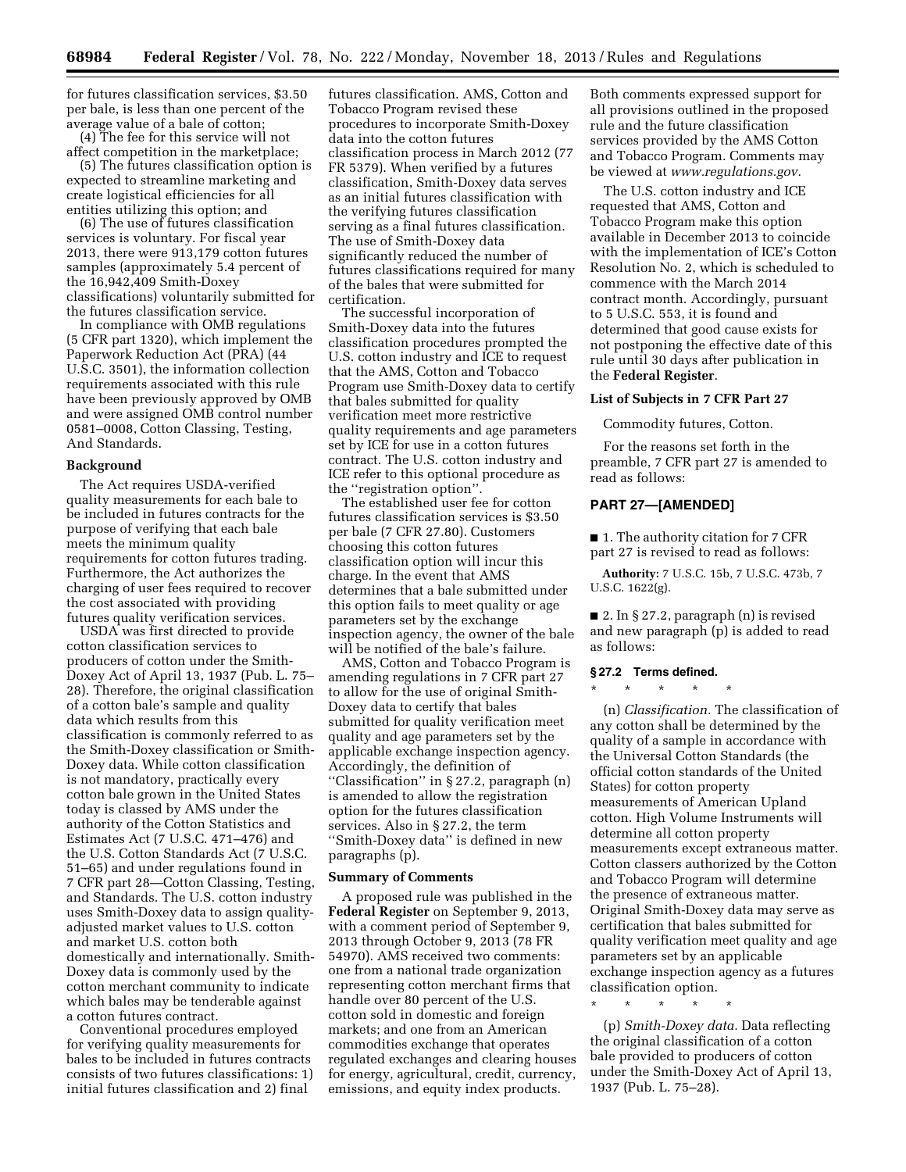for futures classification services, \$3.50 per bale, is less than one percent of the average value of a bale of cotton;

(4) The fee for this service will not affect competition in the marketplace;

(5) The futures classification option is expected to streamline marketing and create logistical efficiencies for all entities utilizing this option; and

(6) The use of futures classification services is voluntary. For fiscal year 2013, there were 913,179 cotton futures samples (approximately 5.4 percent of the 16,942,409 Smith-Doxey classifications) voluntarily submitted for the futures classification service.

In compliance with OMB regulations (5 CFR part 1320), which implement the Paperwork Reduction Act (PRA) (44 U.S.C. 3501), the information collection requirements associated with this rule have been previously approved by OMB and were assigned OMB control number 0581–0008, Cotton Classing, Testing, And Standards.

### **Background**

The Act requires USDA-verified quality measurements for each bale to be included in futures contracts for the purpose of verifying that each bale meets the minimum quality requirements for cotton futures trading. Furthermore, the Act authorizes the charging of user fees required to recover the cost associated with providing futures quality verification services.

USDA was first directed to provide cotton classification services to producers of cotton under the Smith-Doxey Act of April 13, 1937 (Pub. L. 75– 28). Therefore, the original classification of a cotton bale's sample and quality data which results from this classification is commonly referred to as the Smith-Doxey classification or Smith-Doxey data. While cotton classification is not mandatory, practically every cotton bale grown in the United States today is classed by AMS under the authority of the Cotton Statistics and Estimates Act (7 U.S.C. 471–476) and the U.S. Cotton Standards Act (7 U.S.C. 51–65) and under regulations found in 7 CFR part 28—Cotton Classing, Testing, and Standards. The U.S. cotton industry uses Smith-Doxey data to assign qualityadjusted market values to U.S. cotton and market U.S. cotton both domestically and internationally. Smith-Doxey data is commonly used by the cotton merchant community to indicate which bales may be tenderable against a cotton futures contract.

Conventional procedures employed for verifying quality measurements for bales to be included in futures contracts consists of two futures classifications: 1) initial futures classification and 2) final

futures classification. AMS, Cotton and Tobacco Program revised these procedures to incorporate Smith-Doxey data into the cotton futures classification process in March 2012 (77 FR 5379). When verified by a futures classification, Smith-Doxey data serves as an initial futures classification with the verifying futures classification serving as a final futures classification. The use of Smith-Doxey data significantly reduced the number of futures classifications required for many of the bales that were submitted for certification.

The successful incorporation of Smith-Doxey data into the futures classification procedures prompted the U.S. cotton industry and ICE to request that the AMS, Cotton and Tobacco Program use Smith-Doxey data to certify that bales submitted for quality verification meet more restrictive quality requirements and age parameters set by ICE for use in a cotton futures contract. The U.S. cotton industry and ICE refer to this optional procedure as the ''registration option''.

The established user fee for cotton futures classification services is \$3.50 per bale (7 CFR 27.80). Customers choosing this cotton futures classification option will incur this charge. In the event that AMS determines that a bale submitted under this option fails to meet quality or age parameters set by the exchange inspection agency, the owner of the bale will be notified of the bale's failure.

AMS, Cotton and Tobacco Program is amending regulations in 7 CFR part 27 to allow for the use of original Smith-Doxey data to certify that bales submitted for quality verification meet quality and age parameters set by the applicable exchange inspection agency. Accordingly, the definition of ''Classification'' in § 27.2, paragraph (n) is amended to allow the registration option for the futures classification services. Also in § 27.2, the term ''Smith-Doxey data'' is defined in new paragraphs (p).

#### **Summary of Comments**

A proposed rule was published in the **Federal Register** on September 9, 2013, with a comment period of September 9, 2013 through October 9, 2013 (78 FR 54970). AMS received two comments: one from a national trade organization representing cotton merchant firms that handle over 80 percent of the U.S. cotton sold in domestic and foreign markets; and one from an American commodities exchange that operates regulated exchanges and clearing houses for energy, agricultural, credit, currency, emissions, and equity index products.

Both comments expressed support for all provisions outlined in the proposed rule and the future classification services provided by the AMS Cotton and Tobacco Program. Comments may be viewed at *[www.regulations.gov.](http://www.regulations.gov)* 

The U.S. cotton industry and ICE requested that AMS, Cotton and Tobacco Program make this option available in December 2013 to coincide with the implementation of ICE's Cotton Resolution No. 2, which is scheduled to commence with the March 2014 contract month. Accordingly, pursuant to 5 U.S.C. 553, it is found and determined that good cause exists for not postponing the effective date of this rule until 30 days after publication in the **Federal Register**.

### **List of Subjects in 7 CFR Part 27**

Commodity futures, Cotton.

For the reasons set forth in the preamble, 7 CFR part 27 is amended to read as follows:

### **PART 27—[AMENDED]**

■ 1. The authority citation for 7 CFR part 27 is revised to read as follows:

**Authority:** 7 U.S.C. 15b, 7 U.S.C. 473b, 7 U.S.C. 1622(g).

■ 2. In § 27.2, paragraph (n) is revised and new paragraph (p) is added to read as follows:

### **§ 27.2 Terms defined.**

\* \* \* \* \*

(n) *Classification.* The classification of any cotton shall be determined by the quality of a sample in accordance with the Universal Cotton Standards (the official cotton standards of the United States) for cotton property measurements of American Upland cotton. High Volume Instruments will determine all cotton property measurements except extraneous matter. Cotton classers authorized by the Cotton and Tobacco Program will determine the presence of extraneous matter. Original Smith-Doxey data may serve as certification that bales submitted for quality verification meet quality and age parameters set by an applicable exchange inspection agency as a futures classification option.

\* \* \* \* \*

(p) *Smith-Doxey data.* Data reflecting the original classification of a cotton bale provided to producers of cotton under the Smith-Doxey Act of April 13, 1937 (Pub. L. 75–28).